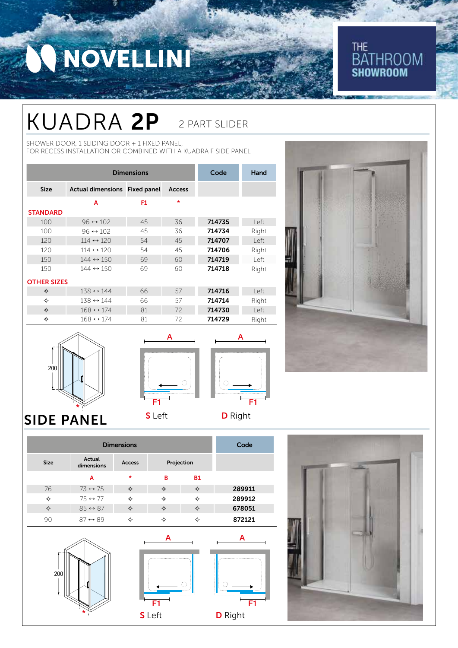# NOVELLIN

### **THE BATHROOM SHOWROOM**

### KUADRA 2P 2 PART SLIDER

SHOWER DOOR, 1 SLIDING DOOR + 1 FIXED PANEL, FOR RECESS INSTALLATION OR COMBINED WITH A KUADRA F SIDE PANEL

| <b>Dimensions</b>  |                               |    |               | Code   | Hand  |
|--------------------|-------------------------------|----|---------------|--------|-------|
| <b>Size</b>        | Actual dimensions Fixed panel |    | <b>Access</b> |        |       |
|                    | А                             | F1 | $\ast$        |        |       |
| <b>STANDARD</b>    |                               |    |               |        |       |
| 100                | $96 \leftrightarrow 102$      | 45 | 36            | 714735 | left  |
| 100                | $96 \leftrightarrow 102$      | 45 | 36            | 714734 | Right |
| 120                | $114 \leftrightarrow 120$     | 54 | 45            | 714707 | l eft |
| 120                | $114 \leftrightarrow 120$     | 54 | 45            | 714706 | Right |
| 150                | $144 \leftrightarrow 150$     | 69 | 60            | 714719 | l eft |
| 150                | $144 \leftrightarrow 150$     | 69 | 60            | 714718 | Right |
| <b>OTHER SIZES</b> |                               |    |               |        |       |
| ✧                  | $138 \leftrightarrow 144$     | 66 | 57            | 714716 | left  |
| ✧                  | $138 \leftrightarrow 144$     | 66 | 57            | 714714 | Right |
| ✧                  | $168 \leftrightarrow 174$     | 81 | 72            | 714730 | left  |
| ✧                  | $168 \leftrightarrow 174$     | 81 | 72            | 714729 | Right |







F1

A